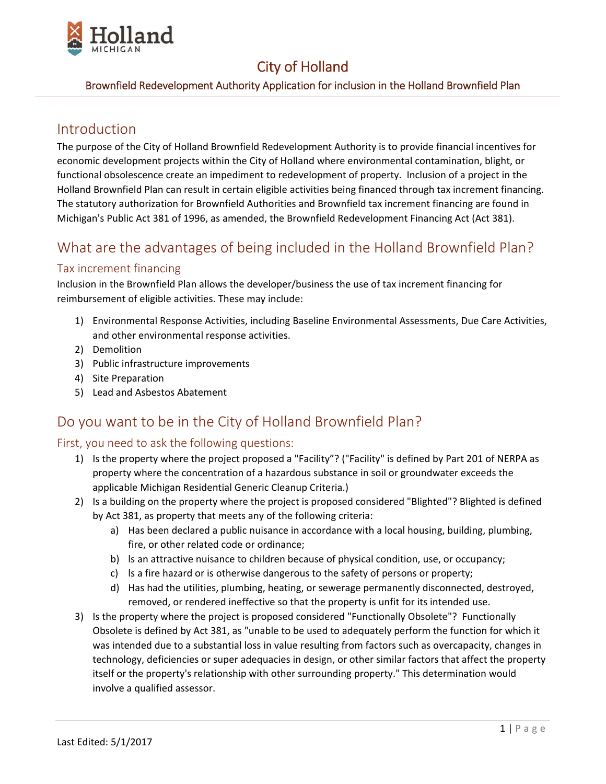

### Brownfield Redevelopment Authority Application for inclusion in the Holland Brownfield Plan

### Introduction

The purpose of the City of Holland Brownfield Redevelopment Authority is to provide financial incentives for economic development projects within the City of Holland where environmental contamination, blight, or functional obsolescence create an impediment to redevelopment of property. Inclusion of a project in the Holland Brownfield Plan can result in certain eligible activities being financed through tax increment financing. The statutory authorization for Brownfield Authorities and Brownfield tax increment financing are found in Michigan's Public Act 381 of 1996, as amended, the Brownfield Redevelopment Financing Act (Act 381).

## What are the advantages of being included in the Holland Brownfield Plan?

#### Tax increment financing

Inclusion in the Brownfield Plan allows the developer/business the use of tax increment financing for reimbursement of eligible activities. These may include:

- 1) Environmental Response Activities, including Baseline Environmental Assessments, Due Care Activities, and other environmental response activities.
- 2) Demolition
- 3) Public infrastructure improvements
- 4) Site Preparation
- 5) Lead and Asbestos Abatement

## Do you want to be in the City of Holland Brownfield Plan?

#### First, you need to ask the following questions:

- 1) Is the property where the project proposed a "Facility"? ("Facility" is defined by Part 201 of NERPA as property where the concentration of a hazardous substance in soil or groundwater exceeds the applicable Michigan Residential Generic Cleanup Criteria.)
- 2) Is a building on the property where the project is proposed considered "Blighted"? Blighted is defined by Act 381, as property that meets any of the following criteria:
	- a) Has been declared a public nuisance in accordance with a local housing, building, plumbing, fire, or other related code or ordinance;
	- b) ls an attractive nuisance to children because of physical condition, use, or occupancy;
	- c) ls a fire hazard or is otherwise dangerous to the safety of persons or property;
	- d) Has had the utilities, plumbing, heating, or sewerage permanently disconnected, destroyed, removed, or rendered ineffective so that the property is unfit for its intended use.
- 3) Is the property where the project is proposed considered "Functionally Obsolete"? Functionally Obsolete is defined by Act 381, as "unable to be used to adequately perform the function for which it was intended due to a substantial loss in value resulting from factors such as overcapacity, changes in technology, deficiencies or super adequacies in design, or other similar factors that affect the property itself or the property's relationship with other surrounding property." This determination would involve a qualified assessor.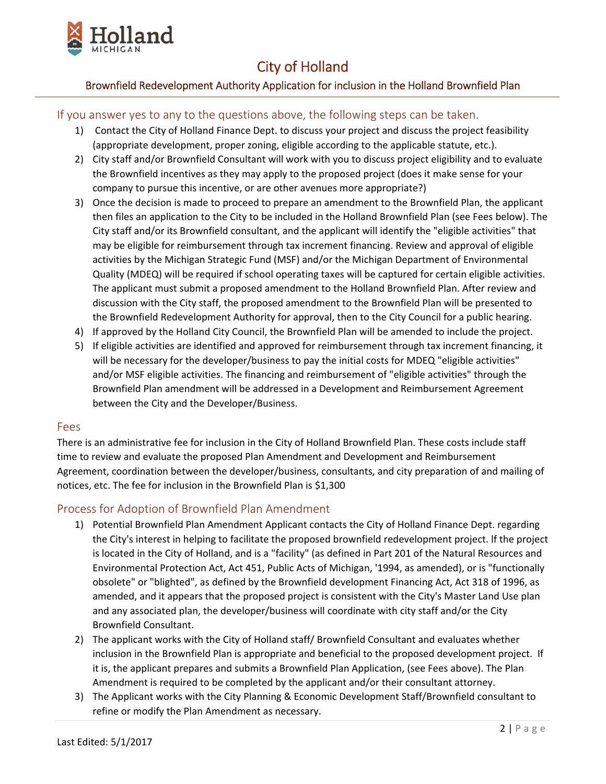

#### Brownfield Redevelopment Authority Application for inclusion in the Holland Brownfield Plan

#### If you answer yes to any to the questions above, the following steps can be taken.

- 1) Contact the City of Holland Finance Dept. to discuss your project and discuss the project feasibility (appropriate development, proper zoning, eligible according to the applicable statute, etc.).
- 2) City staff and/or Brownfield Consultant will work with you to discuss project eligibility and to evaluate the Brownfield incentives as they may apply to the proposed project (does it make sense for your company to pursue this incentive, or are other avenues more appropriate?)
- 3) Once the decision is made to proceed to prepare an amendment to the Brownfield Plan, the applicant then files an application to the City to be included in the Holland Brownfield Plan (see Fees below). The City staff and/or its Brownfield consultant, and the applicant will identify the "eligible activities" that may be eligible for reimbursement through tax increment financing. Review and approval of eligible activities by the Michigan Strategic Fund (MSF) and/or the Michigan Department of Environmental Quality (MDEQ) will be required if school operating taxes will be captured for certain eligible activities. The applicant must submit a proposed amendment to the Holland Brownfield Plan. After review and discussion with the City staff, the proposed amendment to the Brownfield Plan will be presented to the Brownfield Redevelopment Authority for approval, then to the City Council for a public hearing.
- 4) If approved by the Holland City Council, the Brownfield Plan will be amended to include the project.
- 5) If eligible activities are identified and approved for reimbursement through tax increment financing, it will be necessary for the developer/business to pay the initial costs for MDEQ "eligible activities" and/or MSF eligible activities. The financing and reimbursement of "eligible activities" through the Brownfield Plan amendment will be addressed in a Development and Reimbursement Agreement between the City and the Developer/Business.

#### Fees

There is an administrative fee for inclusion in the City of Holland Brownfield Plan. These costs include staff time to review and evaluate the proposed Plan Amendment and Development and Reimbursement Agreement, coordination between the developer/business, consultants, and city preparation of and mailing of notices, etc. The fee for inclusion in the Brownfield Plan is \$1,300

#### Process for Adoption of Brownfield Plan Amendment

- 1) Potential Brownfield Plan Amendment Applicant contacts the City of Holland Finance Dept. regarding the City's interest in helping to facilitate the proposed brownfield redevelopment project. lf the project is located in the City of Holland, and is a "facility" (as defined in Part 201 of the Natural Resources and Environmental Protection Act, Act 451, Public Acts of Michigan, '1994, as amended), or is "functionally obsolete" or "blighted", as defined by the Brownfield development Financing Act, Act 318 of 1996, as amended, and it appears that the proposed project is consistent with the City's Master Land Use plan and any associated plan, the developer/business will coordinate with city staff and/or the City Brownfield Consultant.
- 2) The applicant works with the City of Holland staff/ Brownfield Consultant and evaluates whether inclusion in the Brownfield Plan is appropriate and beneficial to the proposed development project. If it is, the applicant prepares and submits a Brownfield Plan Application, (see Fees above). The Plan Amendment is required to be completed by the applicant and/or their consultant attorney.
- 3) The Applicant works with the City Planning & Economic Development Staff/Brownfield consultant to refine or modify the Plan Amendment as necessary.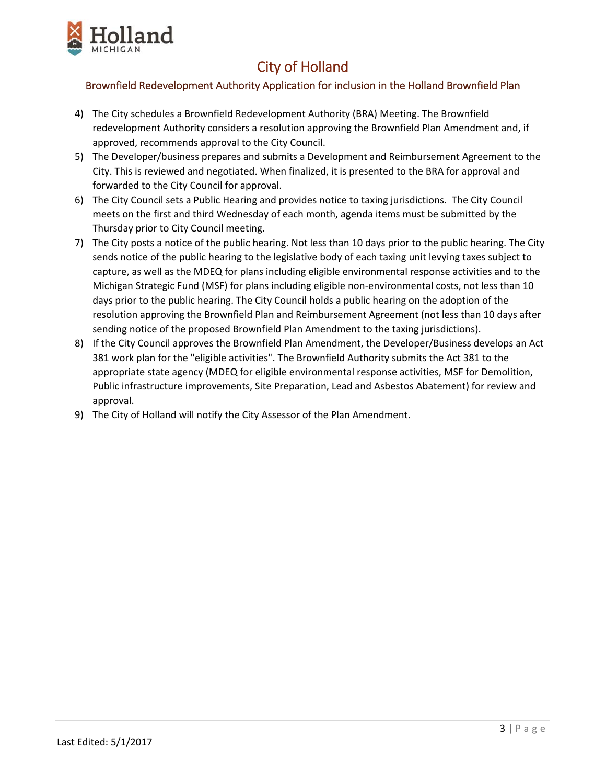

### Brownfield Redevelopment Authority Application for inclusion in the Holland Brownfield Plan

- 4) The City schedules a Brownfield Redevelopment Authority (BRA) Meeting. The Brownfield redevelopment Authority considers a resolution approving the Brownfield Plan Amendment and, if approved, recommends approval to the City Council.
- 5) The Developer/business prepares and submits a Development and Reimbursement Agreement to the City. This is reviewed and negotiated. When finalized, it is presented to the BRA for approval and forwarded to the City Council for approval.
- 6) The City Council sets a Public Hearing and provides notice to taxing jurisdictions. The City Council meets on the first and third Wednesday of each month, agenda items must be submitted by the Thursday prior to City Council meeting.
- 7) The City posts a notice of the public hearing. Not less than 10 days prior to the public hearing. The City sends notice of the public hearing to the legislative body of each taxing unit levying taxes subject to capture, as well as the MDEQ for plans including eligible environmental response activities and to the Michigan Strategic Fund (MSF) for plans including eligible non‐environmental costs, not less than 10 days prior to the public hearing. The City Council holds a public hearing on the adoption of the resolution approving the Brownfield Plan and Reimbursement Agreement (not less than 10 days after sending notice of the proposed Brownfield Plan Amendment to the taxing jurisdictions).
- 8) If the City Council approves the Brownfield Plan Amendment, the Developer/Business develops an Act 381 work plan for the "eligible activities". The Brownfield Authority submits the Act 381 to the appropriate state agency (MDEQ for eligible environmental response activities, MSF for Demolition, Public infrastructure improvements, Site Preparation, Lead and Asbestos Abatement) for review and approval.
- 9) The City of Holland will notify the City Assessor of the Plan Amendment.